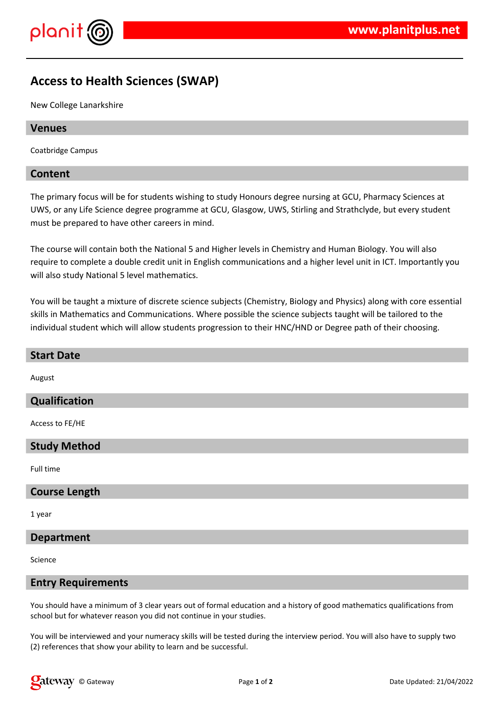



# **Access to Health Sciences (SWAP)**

New College Lanarkshire

#### **Venues**

Coatbridge Campus

## **Content**

The primary focus will be for students wishing to study Honours degree nursing at GCU, Pharmacy Sciences at UWS, or any Life Science degree programme at GCU, Glasgow, UWS, Stirling and Strathclyde, but every student must be prepared to have other careers in mind.

The course will contain both the National 5 and Higher levels in Chemistry and Human Biology. You will also require to complete a double credit unit in English communications and a higher level unit in ICT. Importantly you will also study National 5 level mathematics.

You will be taught a mixture of discrete science subjects (Chemistry, Biology and Physics) along with core essential skills in Mathematics and Communications. Where possible the science subjects taught will be tailored to the individual student which will allow students progression to their HNC/HND or Degree path of their choosing.

#### **Start Date**

August

## **Qualification**

Access to FE/HE

#### **Study Method**

Full time

#### **Course Length**

1 year

#### **Department**

Science

#### **Entry Requirements**

You should have a minimum of 3 clear years out of formal education and a history of good mathematics qualifications from school but for whatever reason you did not continue in your studies.

You will be interviewed and your numeracy skills will be tested during the interview period. You will also have to supply two (2) references that show your ability to learn and be successful.